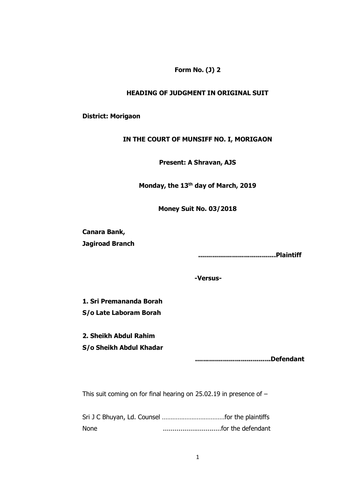### **Form No. (J) 2**

### **HEADING OF JUDGMENT IN ORIGINAL SUIT**

#### **District: Morigaon**

#### **IN THE COURT OF MUNSIFF NO. I, MORIGAON**

### **Present: A Shravan, AJS**

**Monday, the 13th day of March, 2019**

**Money Suit No. 03/2018**

**Canara Bank, Jagiroad Branch**

**.......................................Plaintiff**

**-Versus-**

**1. Sri Premananda Borah S/o Late Laboram Borah**

**2. Sheikh Abdul Rahim S/o Sheikh Abdul Khadar**

**......................................Defendant**

This suit coming on for final hearing on 25.02.19 in presence of –

Sri J C Bhuyan, Ld. Counsel ………………………………for the plaintiffs None ..............................for the defendant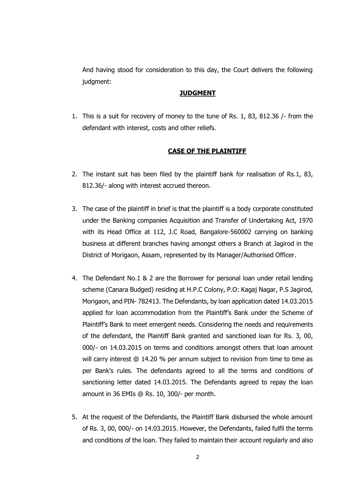And having stood for consideration to this day, the Court delivers the following judgment:

### **JUDGMENT**

1. This is a suit for recovery of money to the tune of Rs. 1, 83, 812.36 /- from the defendant with interest, costs and other reliefs.

### **CASE OF THE PLAINTIFF**

- 2. The instant suit has been filed by the plaintiff bank for realisation of Rs.1, 83, 812.36/- along with interest accrued thereon.
- 3. The case of the plaintiff in brief is that the plaintiff is a body corporate constituted under the Banking companies Acquisition and Transfer of Undertaking Act, 1970 with its Head Office at 112, J.C Road, Bangalore-560002 carrying on banking business at different branches having amongst others a Branch at Jagirod in the District of Morigaon, Assam, represented by its Manager/Authorised Officer.
- 4. The Defendant No.1 & 2 are the Borrower for personal loan under retail lending scheme (Canara Budged) residing at H.P.C Colony, P.O: Kagaj Nagar, P.S Jagirod, Morigaon, and PIN- 782413. The Defendants, by loan application dated 14.03.2015 applied for loan accommodation from the Plaintiff's Bank under the Scheme of Plaintiff's Bank to meet emergent needs. Considering the needs and requirements of the defendant, the Plaintiff Bank granted and sanctioned loan for Rs. 3, 00, 000/- on 14.03.2015 on terms and conditions amongst others that loan amount will carry interest @ 14.20 % per annum subject to revision from time to time as per Bank's rules. The defendants agreed to all the terms and conditions of sanctioning letter dated 14.03.2015. The Defendants agreed to repay the loan amount in 36 EMIs @ Rs. 10, 300/- per month.
- 5. At the request of the Defendants, the Plaintiff Bank disbursed the whole amount of Rs. 3, 00, 000/- on 14.03.2015. However, the Defendants, failed fulfil the terms and conditions of the loan. They failed to maintain their account regularly and also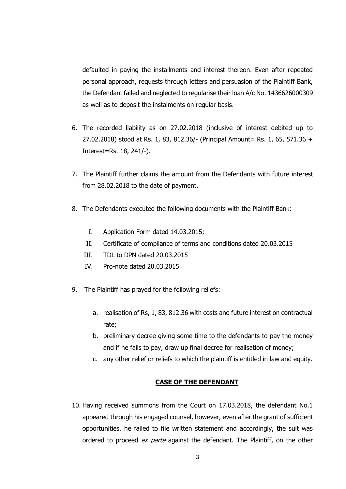defaulted in paying the installments and interest thereon. Even after repeated personal approach, requests through letters and persuasion of the Plaintiff Bank, the Defendant failed and neglected to regularise their loan A/c No. 1436626000309 as well as to deposit the instalments on regular basis.

- 6. The recorded liability as on 27.02.2018 (inclusive of interest debited up to 27.02.2018) stood at Rs. 1, 83, 812.36/- (Principal Amount= Rs. 1, 65, 571.36 + Interest=Rs. 18, 241/-).
- 7. The Plaintiff further claims the amount from the Defendants with future interest from 28.02.2018 to the date of payment.
- 8. The Defendants executed the following documents with the Plaintiff Bank:
	- I. Application Form dated 14.03.2015;
	- II. Certificate of compliance of terms and conditions dated 20.03.2015
	- III. TDL to DPN dated 20.03.2015
	- IV. Pro-note dated 20.03.2015
- 9. The Plaintiff has prayed for the following reliefs:
	- a. realisation of Rs, 1, 83, 812.36 with costs and future interest on contractual rate;
	- b. preliminary decree giving some time to the defendants to pay the money and if he fails to pay, draw up final decree for realisation of money;
	- c. any other relief or reliefs to which the plaintiff is entitled in law and equity.

### **CASE OF THE DEFENDANT**

10. Having received summons from the Court on 17.03.2018, the defendant No.1 appeared through his engaged counsel, however, even after the grant of sufficient opportunities, he failed to file written statement and accordingly, the suit was ordered to proceed ex parte against the defendant. The Plaintiff, on the other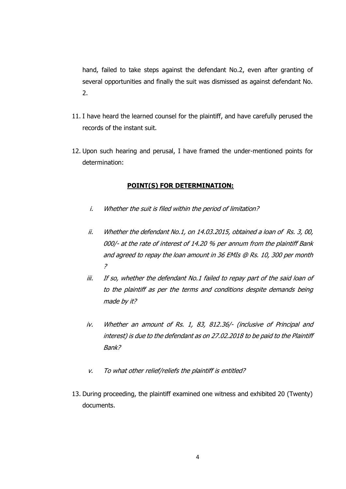hand, failed to take steps against the defendant No.2, even after granting of several opportunities and finally the suit was dismissed as against defendant No. 2.

- 11. I have heard the learned counsel for the plaintiff, and have carefully perused the records of the instant suit.
- 12. Upon such hearing and perusal, I have framed the under-mentioned points for determination:

### **POINT(S) FOR DETERMINATION:**

- i. Whether the suit is filed within the period of limitation?
- ii. Whether the defendant No.1, on 14.03.2015, obtained a loan of Rs. 3, 00, 000/- at the rate of interest of 14.20 % per annum from the plaintiff Bank and agreed to repay the loan amount in 36 EMIs @ Rs. 10, 300 per month ?
- iii. If so, whether the defendant No.1 failed to repay part of the said loan of to the plaintiff as per the terms and conditions despite demands being made by it?
- iv. Whether an amount of Rs. 1, 83, 812.36/- (inclusive of Principal and interest) is due to the defendant as on 27.02.2018 to be paid to the Plaintiff Bank?
- v. To what other relief/reliefs the plaintiff is entitled?
- 13. During proceeding, the plaintiff examined one witness and exhibited 20 (Twenty) documents.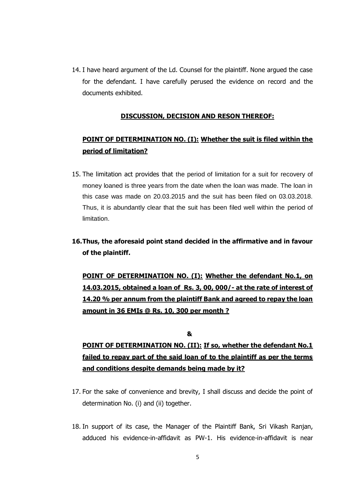14. I have heard argument of the Ld. Counsel for the plaintiff. None argued the case for the defendant. I have carefully perused the evidence on record and the documents exhibited.

## **DISCUSSION, DECISION AND RESON THEREOF:**

## **POINT OF DETERMINATION NO. (I): Whether the suit is filed within the period of limitation?**

15. The limitation act provides that the period of limitation for a suit for recovery of money loaned is three years from the date when the loan was made. The loan in this case was made on 20.03.2015 and the suit has been filed on 03.03.2018. Thus, it is abundantly clear that the suit has been filed well within the period of limitation.

## **16.Thus, the aforesaid point stand decided in the affirmative and in favour of the plaintiff.**

**POINT OF DETERMINATION NO. (I): Whether the defendant No.1, on 14.03.2015, obtained a loan of Rs. 3, 00, 000/- at the rate of interest of 14.20 % per annum from the plaintiff Bank and agreed to repay the loan amount in 36 EMIs @ Rs. 10, 300 per month ?**

**&**

# **POINT OF DETERMINATION NO. (II): If so, whether the defendant No.1 failed to repay part of the said loan of to the plaintiff as per the terms and conditions despite demands being made by it?**

- 17. For the sake of convenience and brevity, I shall discuss and decide the point of determination No. (i) and (ii) together.
- 18. In support of its case, the Manager of the Plaintiff Bank, Sri Vikash Ranjan, adduced his evidence-in-affidavit as PW-1. His evidence-in-affidavit is near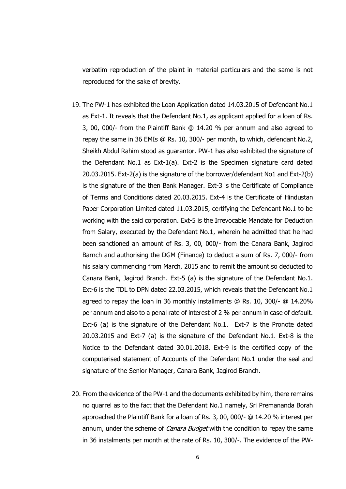verbatim reproduction of the plaint in material particulars and the same is not reproduced for the sake of brevity.

- 19. The PW-1 has exhibited the Loan Application dated 14.03.2015 of Defendant No.1 as Ext-1. It reveals that the Defendant No.1, as applicant applied for a loan of Rs. 3, 00, 000/- from the Plaintiff Bank @ 14.20 % per annum and also agreed to repay the same in 36 EMIs @ Rs. 10, 300/- per month, to which, defendant No.2, Sheikh Abdul Rahim stood as guarantor. PW-1 has also exhibited the signature of the Defendant No.1 as Ext-1(a). Ext-2 is the Specimen signature card dated 20.03.2015. Ext-2(a) is the signature of the borrower/defendant No1 and Ext-2(b) is the signature of the then Bank Manager. Ext-3 is the Certificate of Compliance of Terms and Conditions dated 20.03.2015. Ext-4 is the Certificate of Hindustan Paper Corporation Limited dated 11.03.2015, certifying the Defendant No.1 to be working with the said corporation. Ext-5 is the Irrevocable Mandate for Deduction from Salary, executed by the Defendant No.1, wherein he admitted that he had been sanctioned an amount of Rs. 3, 00, 000/- from the Canara Bank, Jagirod Barnch and authorising the DGM (Finance) to deduct a sum of Rs. 7, 000/- from his salary commencing from March, 2015 and to remit the amount so deducted to Canara Bank, Jagirod Branch. Ext-5 (a) is the signature of the Defendant No.1. Ext-6 is the TDL to DPN dated 22.03.2015, which reveals that the Defendant No.1 agreed to repay the loan in 36 monthly installments @ Rs. 10, 300/- @ 14.20% per annum and also to a penal rate of interest of 2 % per annum in case of default. Ext-6 (a) is the signature of the Defendant No.1. Ext-7 is the Pronote dated 20.03.2015 and Ext-7 (a) is the signature of the Defendant No.1. Ext-8 is the Notice to the Defendant dated 30.01.2018. Ext-9 is the certified copy of the computerised statement of Accounts of the Defendant No.1 under the seal and signature of the Senior Manager, Canara Bank, Jagirod Branch.
- 20. From the evidence of the PW-1 and the documents exhibited by him, there remains no quarrel as to the fact that the Defendant No.1 namely, Sri Premananda Borah approached the Plaintiff Bank for a loan of Rs. 3, 00, 000/- @ 14.20 % interest per annum, under the scheme of *Canara Budget* with the condition to repay the same in 36 instalments per month at the rate of Rs. 10, 300/-. The evidence of the PW-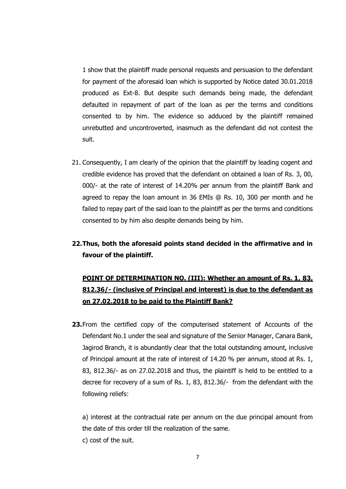1 show that the plaintiff made personal requests and persuasion to the defendant for payment of the aforesaid loan which is supported by Notice dated 30.01.2018 produced as Ext-8. But despite such demands being made, the defendant defaulted in repayment of part of the loan as per the terms and conditions consented to by him. The evidence so adduced by the plaintiff remained unrebutted and uncontroverted, inasmuch as the defendant did not contest the suit.

- 21. Consequently, I am clearly of the opinion that the plaintiff by leading cogent and credible evidence has proved that the defendant on obtained a loan of Rs. 3, 00, 000/- at the rate of interest of 14.20% per annum from the plaintiff Bank and agreed to repay the loan amount in 36 EMIs @ Rs. 10, 300 per month and he failed to repay part of the said loan to the plaintiff as per the terms and conditions consented to by him also despite demands being by him.
- **22.Thus, both the aforesaid points stand decided in the affirmative and in favour of the plaintiff.**

# **POINT OF DETERMINATION NO. (III): Whether an amount of Rs. 1, 83, 812.36/- (inclusive of Principal and interest) is due to the defendant as on 27.02.2018 to be paid to the Plaintiff Bank?**

**23.**From the certified copy of the computerised statement of Accounts of the Defendant No.1 under the seal and signature of the Senior Manager, Canara Bank, Jagirod Branch, it is abundantly clear that the total outstanding amount, inclusive of Principal amount at the rate of interest of 14.20 % per annum, stood at Rs. 1, 83, 812.36/- as on 27.02.2018 and thus, the plaintiff is held to be entitled to a decree for recovery of a sum of Rs. 1, 83, 812.36/- from the defendant with the following reliefs:

a) interest at the contractual rate per annum on the due principal amount from the date of this order till the realization of the same.

c) cost of the suit.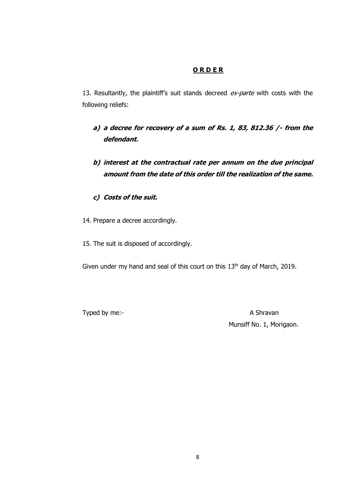## **O R D E R**

13. Resultantly, the plaintiff's suit stands decreed ex-parte with costs with the following reliefs:

- **a) a decree for recovery of a sum of Rs. 1, 83, 812.36 /- from the defendant.**
- **b) interest at the contractual rate per annum on the due principal amount from the date of this order till the realization of the same.**
- **c) Costs of the suit.**
- 14. Prepare a decree accordingly.
- 15. The suit is disposed of accordingly.

Given under my hand and seal of this court on this 13<sup>th</sup> day of March, 2019.

Typed by me:-<br>
A Shravan Munsiff No. 1, Morigaon.